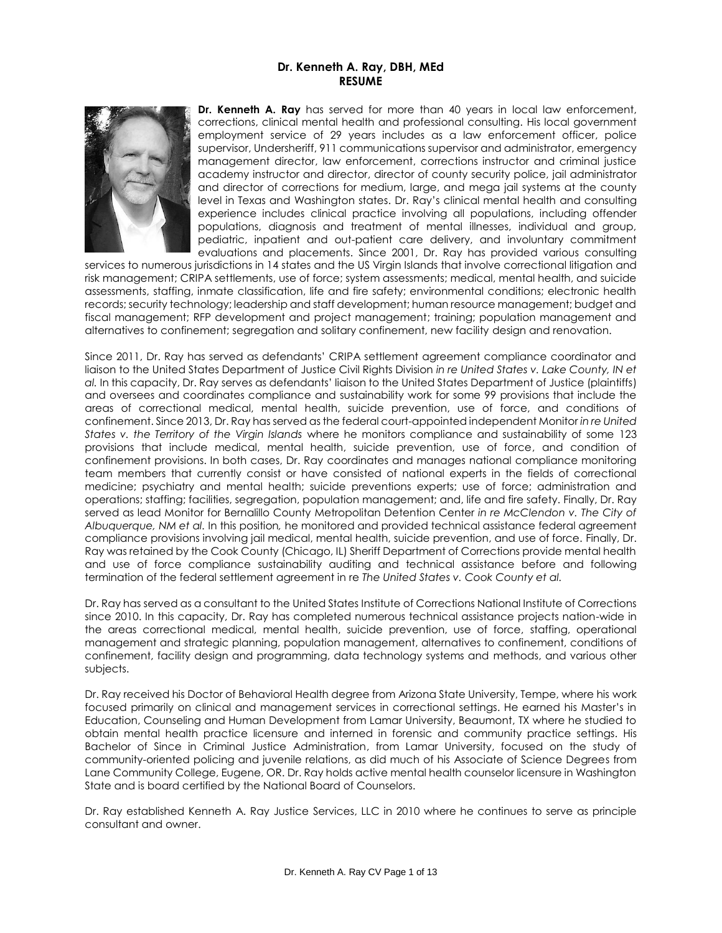# **Dr. Kenneth A. Ray, DBH, MEd RESUME**



**Dr. Kenneth A. Ray** has served for more than 40 years in local law enforcement, corrections, clinical mental health and professional consulting. His local government employment service of 29 years includes as a law enforcement officer, police supervisor, Undersheriff, 911 communications supervisor and administrator, emergency management director, law enforcement, corrections instructor and criminal justice academy instructor and director, director of county security police, jail administrator and director of corrections for medium, large, and mega jail systems at the county level in Texas and Washington states. Dr. Ray's clinical mental health and consulting experience includes clinical practice involving all populations, including offender populations, diagnosis and treatment of mental illnesses, individual and group, pediatric, inpatient and out-patient care delivery, and involuntary commitment evaluations and placements. Since 2001, Dr. Ray has provided various consulting

services to numerous jurisdictions in 14 states and the US Virgin Islands that involve correctional litigation and risk management; CRIPA settlements, use of force; system assessments; medical, mental health, and suicide assessments, staffing, inmate classification, life and fire safety; environmental conditions; electronic health records; security technology; leadership and staff development; human resource management; budget and fiscal management; RFP development and project management; training; population management and alternatives to confinement; segregation and solitary confinement, new facility design and renovation.

Since 2011, Dr. Ray has served as defendants' CRIPA settlement agreement compliance coordinator and liaison to the United States Department of Justice Civil Rights Division *in re United States v. Lake County, IN et al.* In this capacity, Dr. Ray serves as defendants' liaison to the United States Department of Justice (plaintiffs) and oversees and coordinates compliance and sustainability work for some 99 provisions that include the areas of correctional medical, mental health, suicide prevention, use of force, and conditions of confinement. Since 2013, Dr. Ray has served as the federal court-appointed independent Monitor *in re United States v. the Territory of the Virgin Islands* where he monitors compliance and sustainability of some 123 provisions that include medical, mental health, suicide prevention, use of force, and condition of confinement provisions. In both cases, Dr. Ray coordinates and manages national compliance monitoring team members that currently consist or have consisted of national experts in the fields of correctional medicine; psychiatry and mental health; suicide preventions experts; use of force; administration and operations; staffing; facilities, segregation, population management; and, life and fire safety. Finally, Dr. Ray served as lead Monitor for Bernalillo County Metropolitan Detention Center *in re McClendon v. The City of Albuquerque, NM et al.* In this position*,* he monitored and provided technical assistance federal agreement compliance provisions involving jail medical, mental health, suicide prevention, and use of force. Finally, Dr. Ray was retained by the Cook County (Chicago, IL) Sheriff Department of Corrections provide mental health and use of force compliance sustainability auditing and technical assistance before and following termination of the federal settlement agreement in re *The United States v. Cook County et al.*

Dr. Ray has served as a consultant to the United States Institute of Corrections National Institute of Corrections since 2010. In this capacity, Dr. Ray has completed numerous technical assistance projects nation-wide in the areas correctional medical, mental health, suicide prevention, use of force, staffing, operational management and strategic planning, population management, alternatives to confinement, conditions of confinement, facility design and programming, data technology systems and methods, and various other subjects.

Dr. Ray received his Doctor of Behavioral Health degree from Arizona State University, Tempe, where his work focused primarily on clinical and management services in correctional settings. He earned his Master's in Education, Counseling and Human Development from Lamar University, Beaumont, TX where he studied to obtain mental health practice licensure and interned in forensic and community practice settings. His Bachelor of Since in Criminal Justice Administration, from Lamar University, focused on the study of community-oriented policing and juvenile relations, as did much of his Associate of Science Degrees from Lane Community College, Eugene, OR. Dr. Ray holds active mental health counselor licensure in Washington State and is board certified by the National Board of Counselors.

Dr. Ray established Kenneth A. Ray Justice Services, LLC in 2010 where he continues to serve as principle consultant and owner.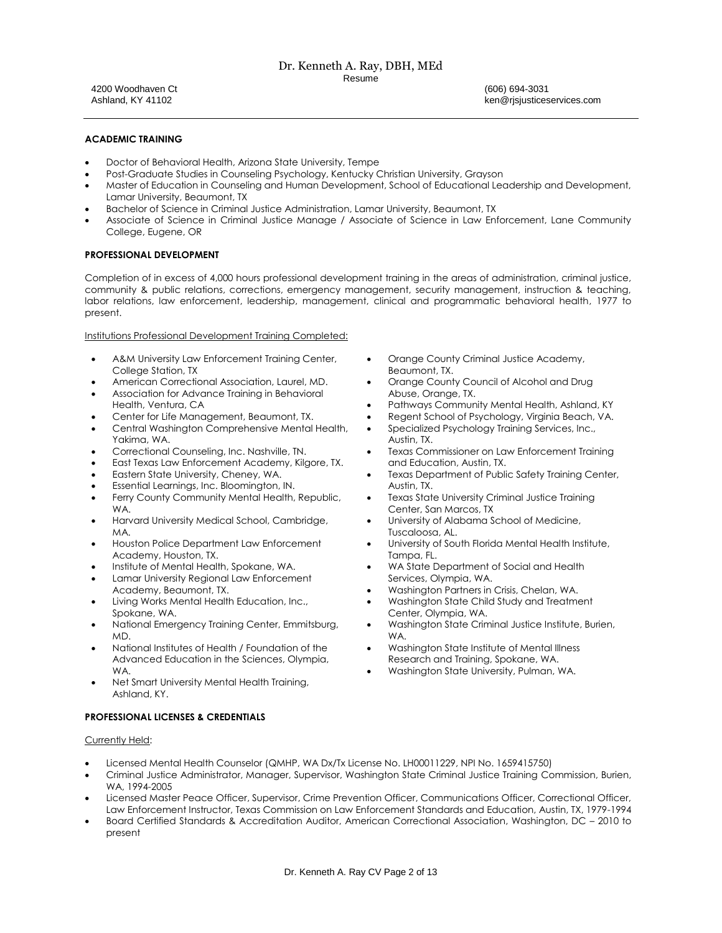#### Dr. Kenneth A. Ray, DBH, MEd Resume

4200 Woodhaven Ct Ashland, KY 41102

(606) 694-3031 ken@rjsjusticeservices.com

## **ACADEMIC TRAINING**

- Doctor of Behavioral Health, Arizona State University, Tempe
- Post-Graduate Studies in Counseling Psychology, Kentucky Christian University, Grayson
- Master of Education in Counseling and Human Development, School of Educational Leadership and Development, Lamar University, Beaumont, TX
- Bachelor of Science in Criminal Justice Administration, Lamar University, Beaumont, TX
- Associate of Science in Criminal Justice Manage / Associate of Science in Law Enforcement, Lane Community College, Eugene, OR

## **PROFESSIONAL DEVELOPMENT**

Completion of in excess of 4,000 hours professional development training in the areas of administration, criminal justice, community & public relations, corrections, emergency management, security management, instruction & teaching, labor relations, law enforcement, leadership, management, clinical and programmatic behavioral health, 1977 to present.

Institutions Professional Development Training Completed:

- A&M University Law Enforcement Training Center, College Station, TX
- American Correctional Association, Laurel, MD.
- Association for Advance Training in Behavioral Health, Ventura, CA
- Center for Life Management, Beaumont, TX.
- Central Washington Comprehensive Mental Health, Yakima, WA.
- Correctional Counseling, Inc. Nashville, TN.
- East Texas Law Enforcement Academy, Kilgore, TX.
- Eastern State University, Cheney, WA.
- Essential Learnings, Inc. Bloomington, IN.
- Ferry County Community Mental Health, Republic, WA.
- Harvard University Medical School, Cambridge, MA.
- Houston Police Department Law Enforcement Academy, Houston, TX.
- Institute of Mental Health, Spokane, WA.
- Lamar University Regional Law Enforcement Academy, Beaumont, TX.
- Living Works Mental Health Education, Inc., Spokane, WA.
- National Emergency Training Center, Emmitsburg, MD.
- National Institutes of Health / Foundation of the Advanced Education in the Sciences, Olympia, WA.
- Net Smart University Mental Health Training, Ashland, KY.

## **PROFESSIONAL LICENSES & CREDENTIALS**

#### Currently Held:

- Licensed Mental Health Counselor (QMHP, WA Dx/Tx License No. LH00011229, NPI No. 1659415750)
- Criminal Justice Administrator, Manager, Supervisor, Washington State Criminal Justice Training Commission, Burien, WA, 1994-2005
- Licensed Master Peace Officer, Supervisor, Crime Prevention Officer, Communications Officer, Correctional Officer, Law Enforcement Instructor, Texas Commission on Law Enforcement Standards and Education, Austin, TX, 1979-1994
- Board Certified Standards & Accreditation Auditor, American Correctional Association, Washington, DC 2010 to present
- Orange County Criminal Justice Academy, Beaumont, TX.
- Orange County Council of Alcohol and Drug Abuse, Orange, TX.
- Pathways Community Mental Health, Ashland, KY
- Regent School of Psychology, Virginia Beach, VA.
- Specialized Psychology Training Services, Inc., Austin, TX.
- Texas Commissioner on Law Enforcement Training and Education, Austin, TX.
- Texas Department of Public Safety Training Center, Austin, TX.
- Texas State University Criminal Justice Training Center, San Marcos, TX
- University of Alabama School of Medicine, Tuscaloosa, AL.
- University of South Florida Mental Health Institute, Tampa, FL.
- WA State Department of Social and Health Services, Olympia, WA.
- Washington Partners in Crisis, Chelan, WA.
- Washington State Child Study and Treatment Center, Olympia, WA.
- Washington State Criminal Justice Institute, Burien, WA.
- Washington State Institute of Mental Illness Research and Training, Spokane, WA.
- Washington State University, Pulman, WA.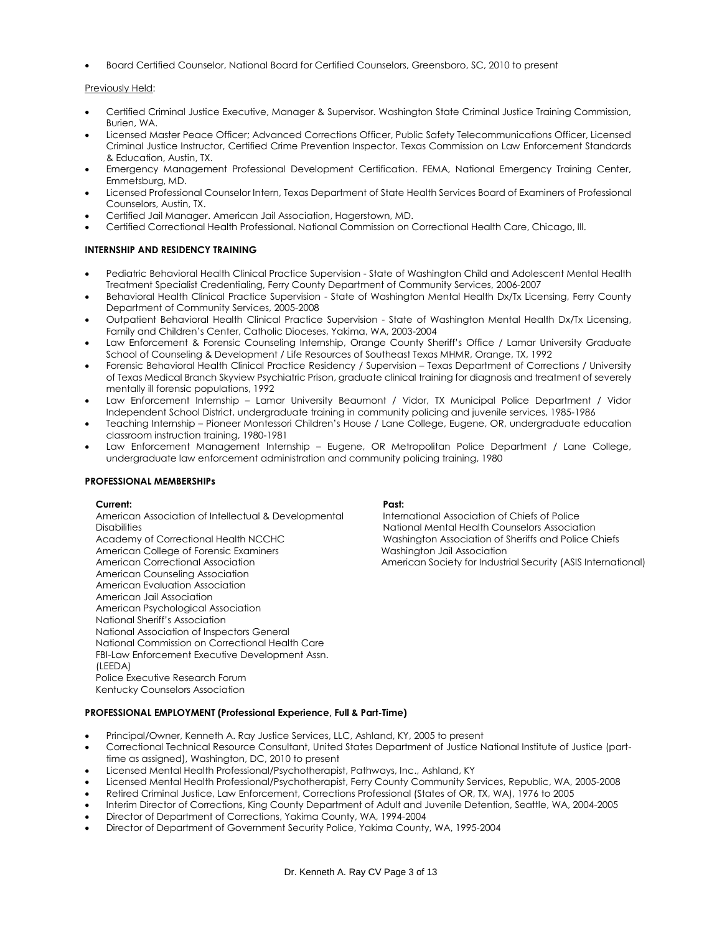• Board Certified Counselor, National Board for Certified Counselors, Greensboro, SC, 2010 to present

## Previously Held:

- Certified Criminal Justice Executive, Manager & Supervisor. Washington State Criminal Justice Training Commission, Burien, WA.
- Licensed Master Peace Officer; Advanced Corrections Officer, Public Safety Telecommunications Officer, Licensed Criminal Justice Instructor, Certified Crime Prevention Inspector. Texas Commission on Law Enforcement Standards & Education, Austin, TX.
- Emergency Management Professional Development Certification. FEMA, National Emergency Training Center, Emmetsburg, MD.
- Licensed Professional Counselor Intern, Texas Department of State Health Services Board of Examiners of Professional Counselors, Austin, TX.
- Certified Jail Manager. American Jail Association, Hagerstown, MD.
- Certified Correctional Health Professional. National Commission on Correctional Health Care, Chicago, Ill.

## **INTERNSHIP AND RESIDENCY TRAINING**

- Pediatric Behavioral Health Clinical Practice Supervision State of Washington Child and Adolescent Mental Health Treatment Specialist Credentialing, Ferry County Department of Community Services, 2006-2007
- Behavioral Health Clinical Practice Supervision State of Washington Mental Health Dx/Tx Licensing, Ferry County Department of Community Services, 2005-2008
- Outpatient Behavioral Health Clinical Practice Supervision State of Washington Mental Health Dx/Tx Licensing, Family and Children's Center, Catholic Dioceses, Yakima, WA, 2003-2004
- Law Enforcement & Forensic Counseling Internship, Orange County Sheriff's Office / Lamar University Graduate School of Counseling & Development / Life Resources of Southeast Texas MHMR, Orange, TX, 1992
- Forensic Behavioral Health Clinical Practice Residency / Supervision Texas Department of Corrections / University of Texas Medical Branch Skyview Psychiatric Prison, graduate clinical training for diagnosis and treatment of severely mentally ill forensic populations, 1992
- Law Enforcement Internship Lamar University Beaumont / Vidor, TX Municipal Police Department / Vidor Independent School District, undergraduate training in community policing and juvenile services, 1985-1986
- Teaching Internship Pioneer Montessori Children's House / Lane College, Eugene, OR, undergraduate education classroom instruction training, 1980-1981
- Law Enforcement Management Internship Eugene, OR Metropolitan Police Department / Lane College, undergraduate law enforcement administration and community policing training, 1980

#### **PROFESSIONAL MEMBERSHIPs**

#### **Current: Past:**

American Association of Intellectual & Developmental **Disabilities** Academy of Correctional Health NCCHC American College of Forensic Examiners American Correctional Association American Counseling Association American Evaluation Association American Jail Association American Psychological Association National Sheriff's Association National Association of Inspectors General National Commission on Correctional Health Care FBI-Law Enforcement Executive Development Assn. (LEEDA) Police Executive Research Forum Kentucky Counselors Association

International Association of Chiefs of Police National Mental Health Counselors Association Washington Association of Sheriffs and Police Chiefs Washington Jail Association American Society for Industrial Security (ASIS International)

## **PROFESSIONAL EMPLOYMENT (Professional Experience, Full & Part-Time)**

- Principal/Owner, Kenneth A. Ray Justice Services, LLC, Ashland, KY, 2005 to present
- Correctional Technical Resource Consultant, United States Department of Justice National Institute of Justice (parttime as assigned), Washington, DC, 2010 to present
- Licensed Mental Health Professional/Psychotherapist, Pathways, Inc., Ashland, KY
- Licensed Mental Health Professional/Psychotherapist, Ferry County Community Services, Republic, WA, 2005-2008
- Retired Criminal Justice, Law Enforcement, Corrections Professional (States of OR, TX, WA), 1976 to 2005
- Interim Director of Corrections, King County Department of Adult and Juvenile Detention, Seattle, WA, 2004-2005
- Director of Department of Corrections, Yakima County, WA, 1994-2004
- Director of Department of Government Security Police, Yakima County, WA, 1995-2004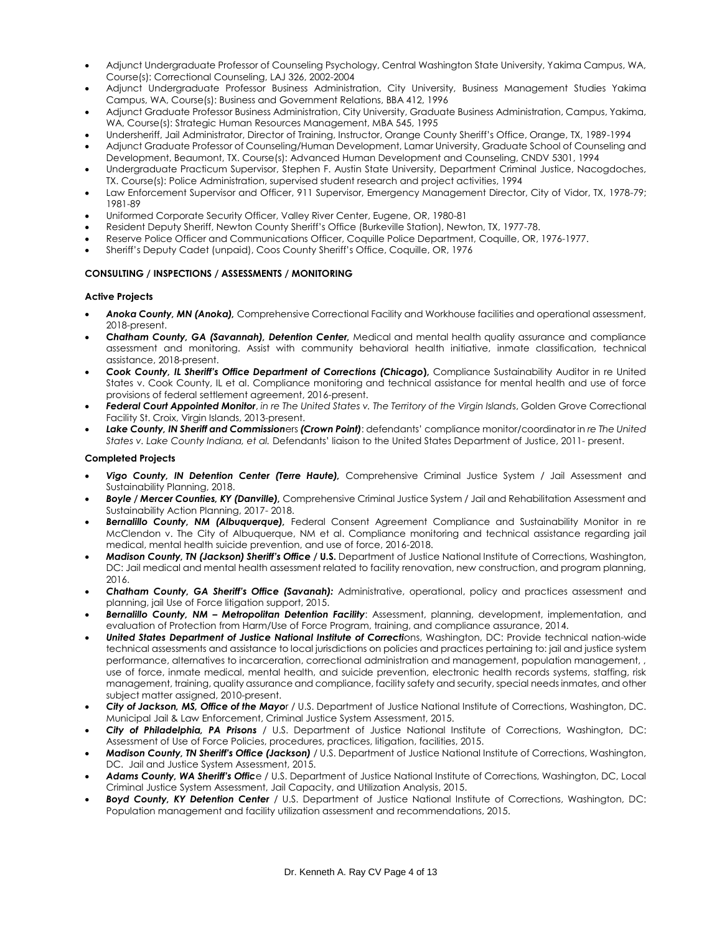- Adjunct Undergraduate Professor of Counseling Psychology, Central Washington State University, Yakima Campus, WA, Course(s): Correctional Counseling, LAJ 326, 2002-2004
- Adjunct Undergraduate Professor Business Administration, City University, Business Management Studies Yakima Campus, WA, Course(s): Business and Government Relations, BBA 412, 1996
- Adjunct Graduate Professor Business Administration, City University, Graduate Business Administration, Campus, Yakima, WA, Course(s): Strategic Human Resources Management, MBA 545, 1995
- Undersheriff, Jail Administrator, Director of Training, Instructor, Orange County Sheriff's Office, Orange, TX, 1989-1994
- Adjunct Graduate Professor of Counseling/Human Development, Lamar University, Graduate School of Counseling and Development, Beaumont, TX. Course(s): Advanced Human Development and Counseling, CNDV 5301, 1994
- Undergraduate Practicum Supervisor, Stephen F. Austin State University, Department Criminal Justice, Nacogdoches, TX. Course(s): Police Administration, supervised student research and project activities, 1994
- Law Enforcement Supervisor and Officer, 911 Supervisor, Emergency Management Director, City of Vidor, TX, 1978-79; 1981-89
- Uniformed Corporate Security Officer, Valley River Center, Eugene, OR, 1980-81
- Resident Deputy Sheriff, Newton County Sheriff's Office (Burkeville Station), Newton, TX, 1977-78.
- Reserve Police Officer and Communications Officer, Coquille Police Department, Coquille, OR, 1976-1977.
- Sheriff's Deputy Cadet (unpaid), Coos County Sheriff's Office, Coquille, OR, 1976

## **CONSULTING / INSPECTIONS / ASSESSMENTS / MONITORING**

#### **Active Projects**

- *Anoka County, MN (Anoka),* Comprehensive Correctional Facility and Workhouse facilities and operational assessment, 2018-present.
- **C***hatham County, GA (Savannah), Detention Center,* Medical and mental health quality assurance and compliance assessment and monitoring. Assist with community behavioral health initiative, inmate classification, technical assistance, 2018-present.
- *Cook County, IL Sheriff's Office Department of Corrections (Chicago***),** Compliance Sustainability Auditor in re United States v. Cook County, IL et al. Compliance monitoring and technical assistance for mental health and use of force provisions of federal settlement agreement, 2016-present.
- *Federal Court Appointed Monitor*, *in re The United States v. The Territory of the Virgin Island*s, Golden Grove Correctional Facility St. Croix, Virgin Islands, 2013-present.
- *Lake County, IN Sheriff and Commission*ers *(Crown Point)*: defendants' compliance monitor/coordinator in *re The United States v. Lake County Indiana, et al.* Defendants' liaison to the United States Department of Justice, 2011- present.

## **Completed Projects**

- *Vigo County, IN Detention Center (Terre Haute),* Comprehensive Criminal Justice System / Jail Assessment and Sustainability Planning, 2018.
- *Boyle / Mercer Counties, KY (Danville),* Comprehensive Criminal Justice System / Jail and Rehabilitation Assessment and Sustainability Action Planning, 2017- 2018.
- *Bernalillo County, NM (Albuquerque),* Federal Consent Agreement Compliance and Sustainability Monitor in re McClendon v. The City of Albuquerque, NM et al. Compliance monitoring and technical assistance regarding jail medical, mental health suicide prevention, and use of force, 2016-2018.
- *Madison County, TN (Jackson) Sheriff's Office /* **U.S.** Department of Justice National Institute of Corrections, Washington, DC: Jail medical and mental health assessment related to facility renovation, new construction, and program planning, 2016.
- *Chatham County, GA Sheriff's Office (Savanah):* Administrative, operational, policy and practices assessment and planning, jail Use of Force litigation support, 2015.
- *Bernalillo County, NM – Metropolitan Detention Facility*: Assessment, planning, development, implementation, and evaluation of Protection from Harm/Use of Force Program, training, and compliance assurance, 2014.
- *United States Department of Justice National Institute of Correcti*ons, Washington, DC: Provide technical nation-wide technical assessments and assistance to local jurisdictions on policies and practices pertaining to: jail and justice system performance, alternatives to incarceration, correctional administration and management, population management, , use of force, inmate medical, mental health, and suicide prevention, electronic health records systems, staffing, risk management, training, quality assurance and compliance, facility safety and security, special needs inmates, and other subject matter assigned, 2010-present.
- *City of Jackson, MS, Office of the Mayo*r / U.S. Department of Justice National Institute of Corrections, Washington, DC. Municipal Jail & Law Enforcement, Criminal Justice System Assessment, 2015.
- *City of Philadelphia, PA Prisons* / U.S. Department of Justice National Institute of Corrections, Washington, DC: Assessment of Use of Force Policies, procedures, practices, litigation, facilities, 2015.
- *Madison County, TN Sheriff's Office (Jackson)* / U.S. Department of Justice National Institute of Corrections, Washington, DC. Jail and Justice System Assessment, 2015.
- *Adams County, WA Sheriff's Offic*e / U.S. Department of Justice National Institute of Corrections, Washington, DC, Local Criminal Justice System Assessment, Jail Capacity, and Utilization Analysis, 2015.
- *Boyd County, KY Detention Center* / U.S. Department of Justice National Institute of Corrections, Washington, DC: Population management and facility utilization assessment and recommendations, 2015.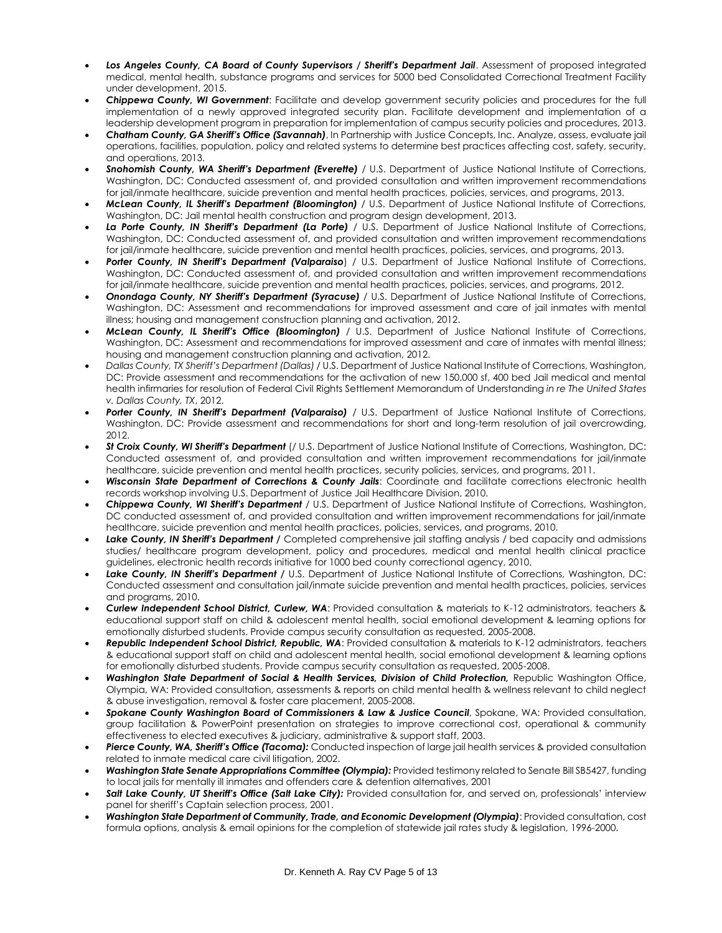- Los Angeles County, CA Board of County Supervisors / Sheriff's Department Jail. Assessment of proposed integrated medical, mental health, substance programs and services for 5000 bed Consolidated Correctional Treatment Facility under development, 2015.
- *Chippewa County, WI Government*: Facilitate and develop government security policies and procedures for the full implementation of a newly approved integrated security plan. Facilitate development and implementation of a leadership development program in preparation for implementation of campus security policies and procedures, 2013.
- *Chatham County, GA Sheriff's Office (Savannah)*, In Partnership with Justice Concepts, Inc. Analyze, assess, evaluate jail operations, facilities, population, policy and related systems to determine best practices affecting cost, safety, security, and operations, 2013.
- *Snohomish County, WA Sheriff's Department (Everette)* / U.S. Department of Justice National Institute of Corrections, Washington, DC: Conducted assessment of, and provided consultation and written improvement recommendations for jail/inmate healthcare, suicide prevention and mental health practices, policies, services, and programs, 2013.
- *McLean County, IL Sheriff's Department (Bloomington)* / U.S. Department of Justice National Institute of Corrections, Washington, DC: Jail mental health construction and program design development, 2013.
- *La Porte County, IN Sheriff's Department (La Porte)* / U.S. Department of Justice National Institute of Corrections, Washington, DC: Conducted assessment of, and provided consultation and written improvement recommendations for jail/inmate healthcare, suicide prevention and mental health practices, policies, services, and programs, 2013.
- *Porter County, IN Sheriff's Department (Valparaiso*) / U.S. Department of Justice National Institute of Corrections, Washington, DC: Conducted assessment of, and provided consultation and written improvement recommendations for jail/inmate healthcare, suicide prevention and mental health practices, policies, services, and programs, 2012.
- *Onondaga County, NY Sheriff's Department (Syracuse)* / U.S. Department of Justice National Institute of Corrections, Washington, DC: Assessment and recommendations for improved assessment and care of jail inmates with mental illness; housing and management construction planning and activation, 2012.
- *McLean County, IL Sheriff's Office (Bloomington)* / U.S. Department of Justice National Institute of Corrections, Washington, DC: Assessment and recommendations for improved assessment and care of inmates with mental illness; housing and management construction planning and activation, 2012.
- *Dallas County, TX Sheriff's Department (Dallas)* / U.S. Department of Justice National Institute of Corrections, Washington, DC: Provide assessment and recommendations for the activation of new 150,000 sf, 400 bed Jail medical and mental health infirmaries for resolution of Federal Civil Rights Settlement Memorandum of Understanding *in re The United States v. Dallas County, TX*, 2012.
- *Porter County, IN Sheriff's Department (Valparaiso)* / U.S. Department of Justice National Institute of Corrections, Washington, DC: Provide assessment and recommendations for short and long-term resolution of jail overcrowding, 2012.
- *St Croix County, WI Sheriff's Department* (/ U.S. Department of Justice National Institute of Corrections, Washington, DC: Conducted assessment of, and provided consultation and written improvement recommendations for jail/inmate healthcare, suicide prevention and mental health practices, security policies, services, and programs, 2011.
- *Wisconsin State Department of Corrections & County Jails*: Coordinate and facilitate corrections electronic health records workshop involving U.S. Department of Justice Jail Healthcare Division, 2010.
- *Chippewa County, WI Sheriff's Department* / U.S. Department of Justice National Institute of Corrections, Washington, DC conducted assessment of, and provided consultation and written improvement recommendations for jail/inmate healthcare, suicide prevention and mental health practices, policies, services, and programs, 2010.
- Lake County, IN Sheriff's Department / Completed comprehensive jail staffing analysis / bed capacity and admissions studies/ healthcare program development, policy and procedures, medical and mental health clinical practice guidelines, electronic health records initiative for 1000 bed county correctional agency, 2010.
- *Lake County, IN Sheriff's Department /* U.S. Department of Justice National Institute of Corrections, Washington, DC: Conducted assessment and consultation jail/inmate suicide prevention and mental health practices, policies, services and programs, 2010.
- *Curlew Independent School District, Curlew, WA*: Provided consultation & materials to K-12 administrators, teachers & educational support staff on child & adolescent mental health, social emotional development & learning options for emotionally disturbed students. Provide campus security consultation as requested, 2005-2008.
- *Republic Independent School District, Republic, WA*: Provided consultation & materials to K-12 administrators, teachers & educational support staff on child and adolescent mental health, social emotional development & learning options for emotionally disturbed students. Provide campus security consultation as requested, 2005-2008.
- *Washington State Department of Social & Health Services, Division of Child Protection,* Republic Washington Office, Olympia, WA: Provided consultation, assessments & reports on child mental health & wellness relevant to child neglect & abuse investigation, removal & foster care placement, 2005-2008.
- *Spokane County Washington Board of Commissioners & Law & Justice Council*, Spokane, WA: Provided consultation, group facilitation & PowerPoint presentation on strategies to improve correctional cost, operational & community effectiveness to elected executives & judiciary, administrative & support staff, 2003.
- *Pierce County, WA, Sheriff's Office (Tacoma):* Conducted inspection of large jail health services & provided consultation related to inmate medical care civil litigation, 2002.
- *Washington State Senate Appropriations Committee (Olympia):* Provided testimony related to Senate Bill SB5427, funding to local jails for mentally ill inmates and offenders care & detention alternatives, 2001
- Salt Lake County, UT Sheriff's Office (Salt Lake City): Provided consultation for, and served on, professionals' interview panel for sheriff's Captain selection process, 2001.
- *Washington State Department of Community, Trade, and Economic Development (Olympia)*: Provided consultation, cost formula options, analysis & email opinions for the completion of statewide jail rates study & legislation, 1996-2000.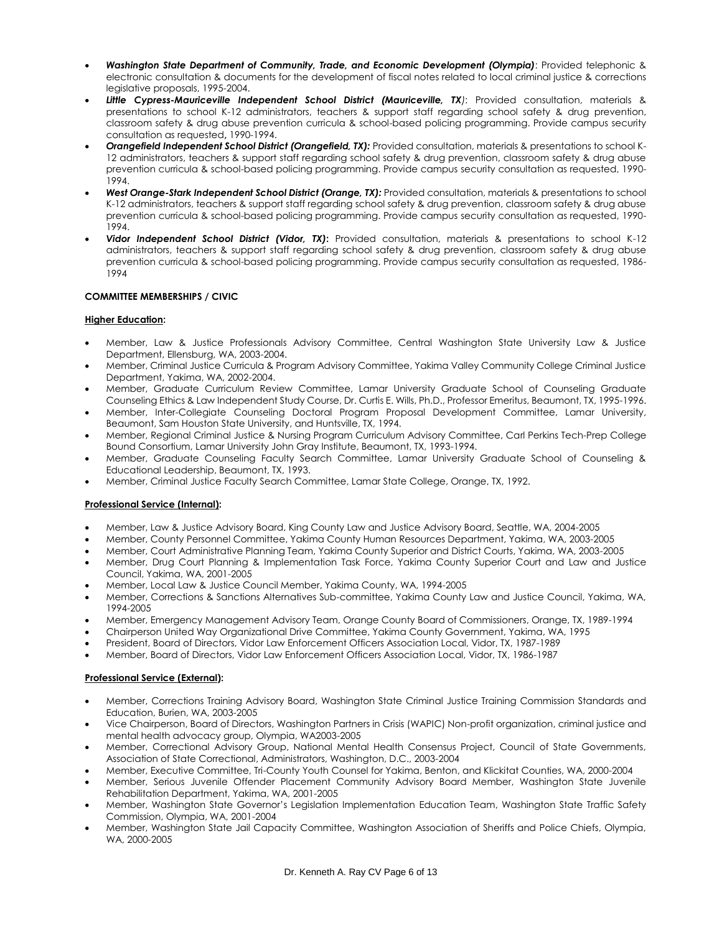- *Washington State Department of Community, Trade, and Economic Development (Olympia)*: Provided telephonic & electronic consultation & documents for the development of fiscal notes related to local criminal justice & corrections legislative proposals, 1995-2004.
- *Little Cypress-Mauriceville Independent School District (Mauriceville, TX)*: Provided consultation, materials & presentations to school K-12 administrators, teachers & support staff regarding school safety & drug prevention, classroom safety & drug abuse prevention curricula & school-based policing programming. Provide campus security consultation as requested**,** 1990-1994.
- *Orangefield Independent School District (Orangefield, TX):* Provided consultation, materials & presentations to school K-12 administrators, teachers & support staff regarding school safety & drug prevention, classroom safety & drug abuse prevention curricula & school-based policing programming. Provide campus security consultation as requested, 1990- 1994.
- *West Orange-Stark Independent School District (Orange, TX):* Provided consultation, materials & presentations to school K-12 administrators, teachers & support staff regarding school safety & drug prevention, classroom safety & drug abuse prevention curricula & school-based policing programming. Provide campus security consultation as requested, 1990- 1994.
- *Vidor Independent School District (Vidor, TX)***:** Provided consultation, materials & presentations to school K-12 administrators, teachers & support staff regarding school safety & drug prevention, classroom safety & drug abuse prevention curricula & school-based policing programming. Provide campus security consultation as requested, 1986- 1994

## **COMMITTEE MEMBERSHIPS / CIVIC**

## **Higher Education:**

- Member, Law & Justice Professionals Advisory Committee, Central Washington State University Law & Justice Department, Ellensburg, WA, 2003-2004.
- Member, Criminal Justice Curricula & Program Advisory Committee, Yakima Valley Community College Criminal Justice Department, Yakima, WA, 2002-2004.
- Member, Graduate Curriculum Review Committee, Lamar University Graduate School of Counseling Graduate Counseling Ethics & Law Independent Study Course, Dr. Curtis E. Wills, Ph.D., Professor Emeritus, Beaumont, TX, 1995-1996.
- Member, Inter-Collegiate Counseling Doctoral Program Proposal Development Committee, Lamar University, Beaumont, Sam Houston State University, and Huntsville, TX, 1994.
- Member, Regional Criminal Justice & Nursing Program Curriculum Advisory Committee, Carl Perkins Tech-Prep College Bound Consortium, Lamar University John Gray Institute, Beaumont, TX, 1993-1994.
- Member, Graduate Counseling Faculty Search Committee, Lamar University Graduate School of Counseling & Educational Leadership, Beaumont, TX, 1993.
- Member, Criminal Justice Faculty Search Committee, Lamar State College, Orange, TX, 1992.

### **Professional Service (Internal):**

- Member, Law & Justice Advisory Board, King County Law and Justice Advisory Board, Seattle, WA, 2004-2005
- Member, County Personnel Committee, Yakima County Human Resources Department, Yakima, WA, 2003-2005
- Member, Court Administrative Planning Team, Yakima County Superior and District Courts, Yakima, WA, 2003-2005
- Member, Drug Court Planning & Implementation Task Force, Yakima County Superior Court and Law and Justice Council, Yakima, WA, 2001-2005
- Member, Local Law & Justice Council Member, Yakima County, WA, 1994-2005
- Member, Corrections & Sanctions Alternatives Sub-committee, Yakima County Law and Justice Council, Yakima, WA, 1994-2005
- Member, Emergency Management Advisory Team, Orange County Board of Commissioners, Orange, TX, 1989-1994
- Chairperson United Way Organizational Drive Committee, Yakima County Government, Yakima, WA, 1995
- President, Board of Directors, Vidor Law Enforcement Officers Association Local, Vidor, TX, 1987-1989
- Member, Board of Directors, Vidor Law Enforcement Officers Association Local, Vidor, TX, 1986-1987

#### **Professional Service (External):**

- Member, Corrections Training Advisory Board, Washington State Criminal Justice Training Commission Standards and Education, Burien, WA, 2003-2005
- Vice Chairperson, Board of Directors, Washington Partners in Crisis (WAPIC) Non-profit organization, criminal justice and mental health advocacy group, Olympia, WA2003-2005
- Member, Correctional Advisory Group, National Mental Health Consensus Project, Council of State Governments, Association of State Correctional, Administrators, Washington, D.C., 2003-2004
- Member, Executive Committee, Tri-County Youth Counsel for Yakima, Benton, and Klickitat Counties, WA, 2000-2004
- Member, Serious Juvenile Offender Placement Community Advisory Board Member, Washington State Juvenile Rehabilitation Department, Yakima, WA, 2001-2005
- Member, Washington State Governor's Legislation Implementation Education Team, Washington State Traffic Safety Commission, Olympia, WA, 2001-2004
- Member, Washington State Jail Capacity Committee, Washington Association of Sheriffs and Police Chiefs, Olympia, WA, 2000-2005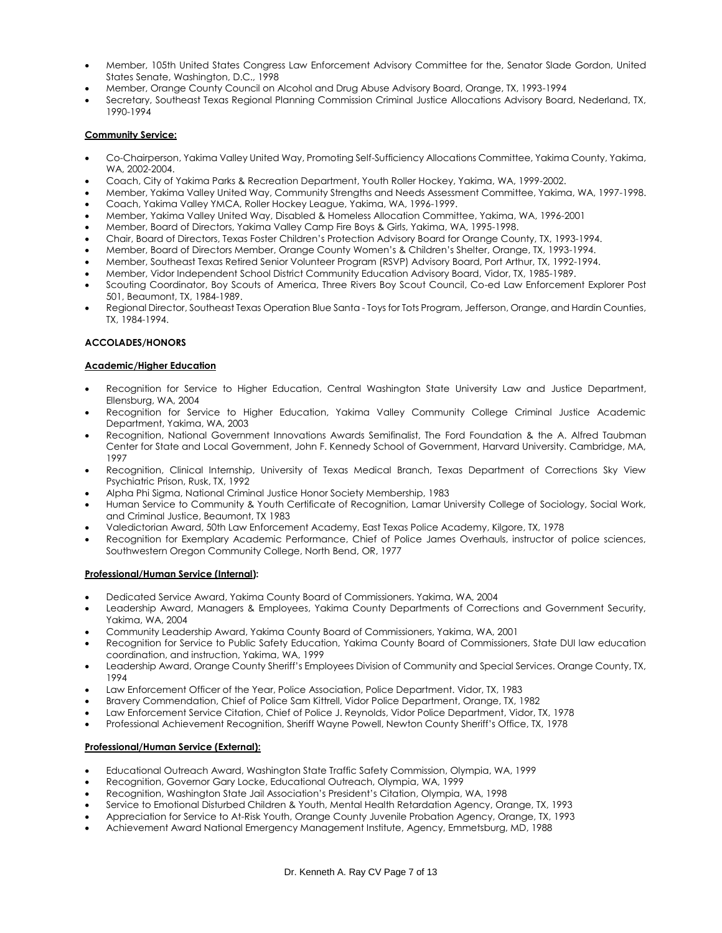- Member, 105th United States Congress Law Enforcement Advisory Committee for the, Senator Slade Gordon, United States Senate, Washington, D.C., 1998
- Member, Orange County Council on Alcohol and Drug Abuse Advisory Board, Orange, TX, 1993-1994
- Secretary, Southeast Texas Regional Planning Commission Criminal Justice Allocations Advisory Board, Nederland, TX, 1990-1994

## **Community Service:**

- Co-Chairperson, Yakima Valley United Way, Promoting Self-Sufficiency Allocations Committee, Yakima County, Yakima, WA, 2002-2004.
- Coach, City of Yakima Parks & Recreation Department, Youth Roller Hockey, Yakima, WA, 1999-2002.
- Member, Yakima Valley United Way, Community Strengths and Needs Assessment Committee, Yakima, WA, 1997-1998.
- Coach, Yakima Valley YMCA, Roller Hockey League, Yakima, WA, 1996-1999.
- Member, Yakima Valley United Way, Disabled & Homeless Allocation Committee, Yakima, WA, 1996-2001
- Member, Board of Directors, Yakima Valley Camp Fire Boys & Girls, Yakima, WA, 1995-1998.
- Chair, Board of Directors, Texas Foster Children's Protection Advisory Board for Orange County, TX, 1993-1994.
- Member, Board of Directors Member, Orange County Women's & Children's Shelter, Orange, TX, 1993-1994.
- Member, Southeast Texas Retired Senior Volunteer Program (RSVP) Advisory Board, Port Arthur, TX, 1992-1994.
- Member, Vidor Independent School District Community Education Advisory Board, Vidor, TX, 1985-1989.
- Scouting Coordinator, Boy Scouts of America, Three Rivers Boy Scout Council, Co-ed Law Enforcement Explorer Post 501, Beaumont, TX, 1984-1989.
- Regional Director, Southeast Texas Operation Blue Santa Toys for Tots Program, Jefferson, Orange, and Hardin Counties, TX, 1984-1994.

## **ACCOLADES/HONORS**

#### **Academic/Higher Education**

- Recognition for Service to Higher Education, Central Washington State University Law and Justice Department, Ellensburg, WA, 2004
- Recognition for Service to Higher Education, Yakima Valley Community College Criminal Justice Academic Department, Yakima, WA, 2003
- Recognition, National Government Innovations Awards Semifinalist, The Ford Foundation & the A. Alfred Taubman Center for State and Local Government, John F. Kennedy School of Government, Harvard University. Cambridge, MA, 1997
- Recognition, Clinical Internship, University of Texas Medical Branch, Texas Department of Corrections Sky View Psychiatric Prison, Rusk, TX, 1992
- Alpha Phi Sigma, National Criminal Justice Honor Society Membership, 1983
- Human Service to Community & Youth Certificate of Recognition, Lamar University College of Sociology, Social Work, and Criminal Justice, Beaumont, TX 1983
- Valedictorian Award, 50th Law Enforcement Academy, East Texas Police Academy, Kilgore, TX, 1978
- Recognition for Exemplary Academic Performance, Chief of Police James Overhauls, instructor of police sciences, Southwestern Oregon Community College, North Bend, OR, 1977

## **Professional/Human Service (Internal):**

- Dedicated Service Award, Yakima County Board of Commissioners. Yakima, WA, 2004
- Leadership Award, Managers & Employees, Yakima County Departments of Corrections and Government Security, Yakima, WA, 2004
- Community Leadership Award, Yakima County Board of Commissioners, Yakima, WA, 2001
- Recognition for Service to Public Safety Education, Yakima County Board of Commissioners, State DUI law education coordination, and instruction, Yakima, WA, 1999
- Leadership Award, Orange County Sheriff's Employees Division of Community and Special Services. Orange County, TX, 1994
- Law Enforcement Officer of the Year, Police Association, Police Department. Vidor, TX, 1983
- Bravery Commendation, Chief of Police Sam Kittrell, Vidor Police Department, Orange, TX, 1982
- Law Enforcement Service Citation, Chief of Police J. Reynolds, Vidor Police Department, Vidor, TX, 1978
- Professional Achievement Recognition, Sheriff Wayne Powell, Newton County Sheriff's Office, TX, 1978

#### **Professional/Human Service (External):**

- Educational Outreach Award, Washington State Traffic Safety Commission, Olympia, WA, 1999
- Recognition, Governor Gary Locke, Educational Outreach, Olympia, WA, 1999
- Recognition, Washington State Jail Association's President's Citation, Olympia, WA, 1998
- Service to Emotional Disturbed Children & Youth, Mental Health Retardation Agency, Orange, TX, 1993
- Appreciation for Service to At-Risk Youth, Orange County Juvenile Probation Agency, Orange, TX, 1993
- Achievement Award National Emergency Management Institute, Agency, Emmetsburg, MD, 1988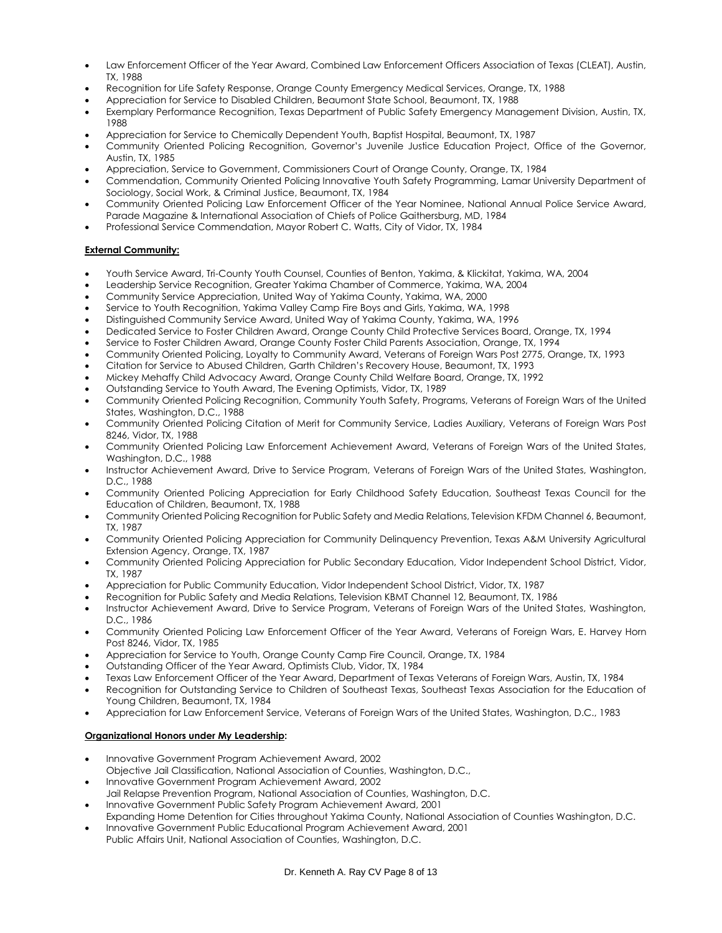- Law Enforcement Officer of the Year Award, Combined Law Enforcement Officers Association of Texas (CLEAT), Austin, TX, 1988
- Recognition for Life Safety Response, Orange County Emergency Medical Services, Orange, TX, 1988
- Appreciation for Service to Disabled Children, Beaumont State School, Beaumont, TX, 1988
- Exemplary Performance Recognition, Texas Department of Public Safety Emergency Management Division, Austin, TX, 1988
- Appreciation for Service to Chemically Dependent Youth, Baptist Hospital, Beaumont, TX, 1987
- Community Oriented Policing Recognition, Governor's Juvenile Justice Education Project, Office of the Governor, Austin, TX, 1985
- Appreciation, Service to Government, Commissioners Court of Orange County, Orange, TX, 1984
- Commendation, Community Oriented Policing Innovative Youth Safety Programming, Lamar University Department of Sociology, Social Work, & Criminal Justice, Beaumont, TX, 1984
- Community Oriented Policing Law Enforcement Officer of the Year Nominee, National Annual Police Service Award, Parade Magazine & International Association of Chiefs of Police Gaithersburg, MD, 1984
- Professional Service Commendation, Mayor Robert C. Watts, City of Vidor, TX, 1984

## **External Community:**

- Youth Service Award, Tri-County Youth Counsel, Counties of Benton, Yakima, & Klickitat, Yakima, WA, 2004
- Leadership Service Recognition, Greater Yakima Chamber of Commerce, Yakima, WA, 2004
- Community Service Appreciation, United Way of Yakima County, Yakima, WA, 2000
- Service to Youth Recognition, Yakima Valley Camp Fire Boys and Girls, Yakima, WA, 1998
- Distinguished Community Service Award, United Way of Yakima County, Yakima, WA, 1996
- Dedicated Service to Foster Children Award, Orange County Child Protective Services Board, Orange, TX, 1994
- Service to Foster Children Award, Orange County Foster Child Parents Association, Orange, TX, 1994
- Community Oriented Policing, Loyalty to Community Award, Veterans of Foreign Wars Post 2775, Orange, TX, 1993
- Citation for Service to Abused Children, Garth Children's Recovery House, Beaumont, TX, 1993
- Mickey Mehaffy Child Advocacy Award, Orange County Child Welfare Board, Orange, TX, 1992
- Outstanding Service to Youth Award, The Evening Optimists, Vidor, TX, 1989
- Community Oriented Policing Recognition, Community Youth Safety, Programs, Veterans of Foreign Wars of the United States, Washington, D.C., 1988
- Community Oriented Policing Citation of Merit for Community Service, Ladies Auxiliary, Veterans of Foreign Wars Post 8246, Vidor, TX, 1988
- Community Oriented Policing Law Enforcement Achievement Award, Veterans of Foreign Wars of the United States, Washington, D.C., 1988
- Instructor Achievement Award, Drive to Service Program, Veterans of Foreign Wars of the United States, Washington, D.C., 1988
- Community Oriented Policing Appreciation for Early Childhood Safety Education, Southeast Texas Council for the Education of Children, Beaumont, TX, 1988
- Community Oriented Policing Recognition for Public Safety and Media Relations, Television KFDM Channel 6, Beaumont, TX, 1987
- Community Oriented Policing Appreciation for Community Delinquency Prevention, Texas A&M University Agricultural Extension Agency, Orange, TX, 1987
- Community Oriented Policing Appreciation for Public Secondary Education, Vidor Independent School District, Vidor, TX, 1987
- Appreciation for Public Community Education, Vidor Independent School District, Vidor, TX, 1987
- Recognition for Public Safety and Media Relations, Television KBMT Channel 12, Beaumont, TX, 1986
- Instructor Achievement Award, Drive to Service Program, Veterans of Foreign Wars of the United States, Washington, D.C., 1986
- Community Oriented Policing Law Enforcement Officer of the Year Award, Veterans of Foreign Wars, E. Harvey Horn Post 8246, Vidor, TX, 1985
- Appreciation for Service to Youth, Orange County Camp Fire Council, Orange, TX, 1984
- Outstanding Officer of the Year Award, Optimists Club, Vidor, TX, 1984
- Texas Law Enforcement Officer of the Year Award, Department of Texas Veterans of Foreign Wars, Austin, TX, 1984
- Recognition for Outstanding Service to Children of Southeast Texas, Southeast Texas Association for the Education of Young Children, Beaumont, TX, 1984
- Appreciation for Law Enforcement Service, Veterans of Foreign Wars of the United States, Washington, D.C., 1983

## **Organizational Honors under My Leadership:**

- Innovative Government Program Achievement Award, 2002 Objective Jail Classification, National Association of Counties, Washington, D.C.,
- Innovative Government Program Achievement Award, 2002
- Jail Relapse Prevention Program, National Association of Counties, Washington, D.C.
- Innovative Government Public Safety Program Achievement Award, 2001
- Expanding Home Detention for Cities throughout Yakima County, National Association of Counties Washington, D.C. • Innovative Government Public Educational Program Achievement Award, 2001
- Public Affairs Unit, National Association of Counties, Washington, D.C.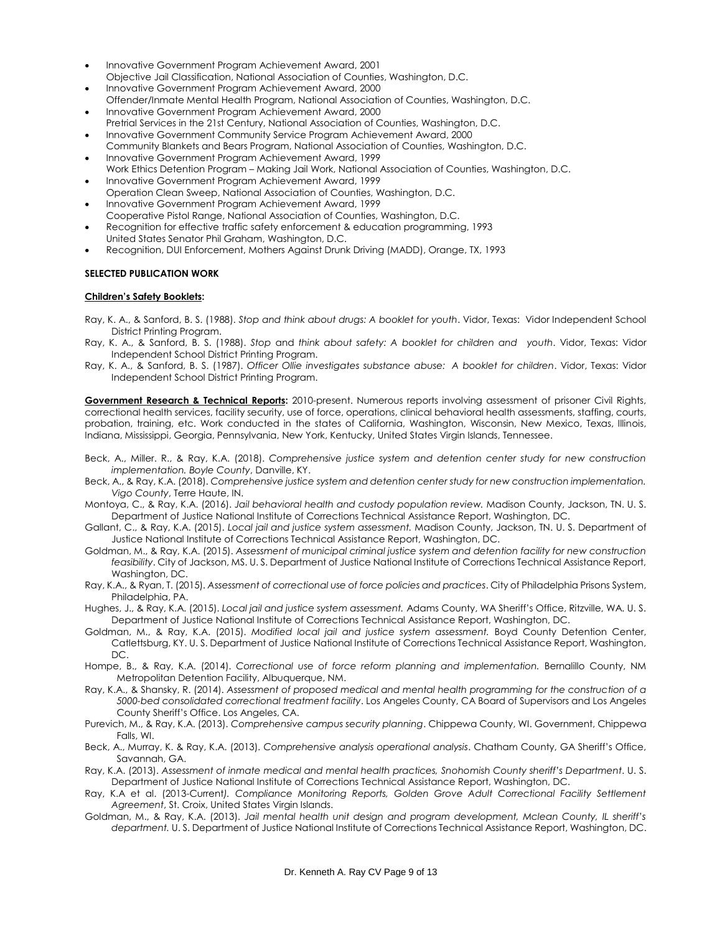- Innovative Government Program Achievement Award, 2001 Objective Jail Classification, National Association of Counties, Washington, D.C.
- Innovative Government Program Achievement Award, 2000 Offender/Inmate Mental Health Program, National Association of Counties, Washington, D.C.
- Innovative Government Program Achievement Award, 2000 Pretrial Services in the 21st Century, National Association of Counties, Washington, D.C.
- Innovative Government Community Service Program Achievement Award, 2000 Community Blankets and Bears Program, National Association of Counties, Washington, D.C.
- Innovative Government Program Achievement Award, 1999 Work Ethics Detention Program – Making Jail Work, National Association of Counties, Washington, D.C.
- Innovative Government Program Achievement Award, 1999 Operation Clean Sweep, National Association of Counties, Washington, D.C.
- Innovative Government Program Achievement Award, 1999
- Cooperative Pistol Range, National Association of Counties, Washington, D.C. • Recognition for effective traffic safety enforcement & education programming, 1993
- United States Senator Phil Graham, Washington, D.C.
- Recognition, DUI Enforcement, Mothers Against Drunk Driving (MADD), Orange, TX, 1993

## **SELECTED PUBLICATION WORK**

## **Children's Safety Booklets:**

- Ray, K. A., & Sanford, B. S. (1988). *Stop and think about drugs: A booklet for youth*. Vidor, Texas: Vidor Independent School District Printing Program.
- Ray, K. A., & Sanford, B. S. (1988). *Stop* and *think about safety: A booklet for children and youth*. Vidor, Texas: Vidor Independent School District Printing Program.
- Ray, K. A., & Sanford, B. S. (1987). *Officer Ollie investigates substance abuse: A booklet for children*. Vidor, Texas: Vidor Independent School District Printing Program.

**Government Research & Technical Reports:** 2010-present. Numerous reports involving assessment of prisoner Civil Rights, correctional health services, facility security, use of force, operations, clinical behavioral health assessments, staffing, courts, probation, training, etc. Work conducted in the states of California, Washington, Wisconsin, New Mexico, Texas, Illinois, Indiana, Mississippi, Georgia, Pennsylvania, New York, Kentucky, United States Virgin Islands, Tennessee.

- Beck, A., Miller. R., & Ray, K.A. (2018). *Comprehensive justice system and detention center study for new construction implementation. Boyle County*, Danville, KY.
- Beck, A., & Ray, K.A. (2018). *Comprehensive justice system and detention center study for new construction implementation. Vigo County*, Terre Haute, IN.
- Montoya, C., & Ray, K.A. (2016). *Jail behavioral health and custody population review.* Madison County, Jackson, TN. U. S. Department of Justice National Institute of Corrections Technical Assistance Report, Washington, DC.
- Gallant, C., & Ray, K.A. (2015). *Local jail and justice system assessment.* Madison County, Jackson, TN. U. S. Department of Justice National Institute of Corrections Technical Assistance Report, Washington, DC.
- Goldman, M., & Ray, K.A. (2015). *Assessment of municipal criminal justice system and detention facility for new construction feasibility*. City of Jackson, MS. U. S. Department of Justice National Institute of Corrections Technical Assistance Report, Washington, DC.
- Ray, K.A., & Ryan, T. (2015). *Assessment of correctional use of force policies and practices*. City of Philadelphia Prisons System, Philadelphia, PA.
- Hughes, J., & Ray, K.A. (2015). *Local jail and justice system assessment.* Adams County, WA Sheriff's Office, Ritzville, WA. U. S. Department of Justice National Institute of Corrections Technical Assistance Report, Washington, DC.
- Goldman, M., & Ray, K.A. (2015). *Modified local jail and justice system assessment.* Boyd County Detention Center, Catlettsburg, KY. U. S. Department of Justice National Institute of Corrections Technical Assistance Report, Washington, DC.
- Hompe, B., & Ray, K.A. (2014). Correctional use of force reform planning and implementation. Bernalillo County, NM Metropolitan Detention Facility, Albuquerque, NM.
- Ray, K.A., & Shansky, R. (2014). *Assessment of proposed medical and mental health programming for the construction of a 5000-bed consolidated correctional treatment facility*. Los Angeles County, CA Board of Supervisors and Los Angeles County Sheriff's Office. Los Angeles, CA.
- Purevich, M., & Ray, K.A. (2013). *Comprehensive campus security planning*. Chippewa County, WI. Government, Chippewa Falls, WI.
- Beck, A., Murray, K. & Ray, K.A. (2013). *Comprehensive analysis operational analysis*. Chatham County, GA Sheriff's Office, Savannah, GA.
- Ray, K.A. (2013). *Assessment of inmate medical and mental health practices, Snohomish County sheriff's Department*. U. S. Department of Justice National Institute of Corrections Technical Assistance Report, Washington, DC.
- Ray, K.A et al. (2013-Current*). Compliance Monitoring Reports, Golden Grove Adult Correctional Facility Settlement Agreement*, St. Croix, United States Virgin Islands.
- Goldman, M., & Ray, K.A. (2013). *Jail mental health unit design and program development, Mclean County, IL sheriff's department.* U. S. Department of Justice National Institute of Corrections Technical Assistance Report, Washington, DC.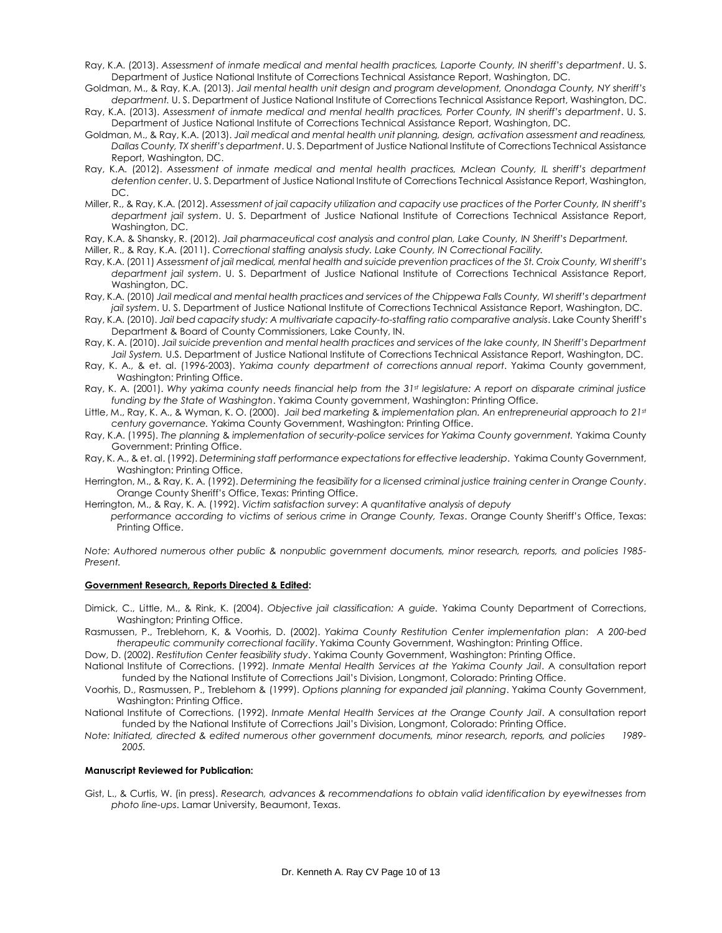- Ray, K.A. (2013). *Assessment of inmate medical and mental health practices, Laporte County, IN sheriff's department*. U. S. Department of Justice National Institute of Corrections Technical Assistance Report, Washington, DC.
- Goldman, M., & Ray, K.A. (2013). *Jail mental health unit design and program development, Onondaga County, NY sheriff's department.* U. S. Department of Justice National Institute of Corrections Technical Assistance Report, Washington, DC.
- Ray, K.A. (2013). *Assessment of inmate medical and mental health practices, Porter County, IN sheriff's department*. U. S. Department of Justice National Institute of Corrections Technical Assistance Report, Washington, DC.
- Goldman, M., & Ray, K.A. (2013). *Jail medical and mental health unit planning, design, activation assessment and readiness, Dallas County, TX sheriff's department*. U. S. Department of Justice National Institute of Corrections Technical Assistance Report, Washington, DC.
- Ray, K.A. (2012). *Assessment of inmate medical and mental health practices, Mclean County, IL sheriff's department detention center*. U. S. Department of Justice National Institute of Corrections Technical Assistance Report, Washington, DC.
- Miller, R., & Ray, K.A. (2012). *Assessment of jail capacity utilization and capacity use practices of the Porter County, IN sheriff's department jail system*. U. S. Department of Justice National Institute of Corrections Technical Assistance Report, Washington, DC.

Ray, K.A. & Shansky, R. (2012). *Jail pharmaceutical cost analysis and control plan, Lake County, IN Sheriff's Department.*

- Miller, R., & Ray, K.A. (2011). *Correctional staffing analysis study. Lake County, IN Correctional Facility.*
- Ray, K.A. (2011) *Assessment of jail medical, mental health and suicide prevention practices of the St. Croix County, WI sheriff's department jail system*. U. S. Department of Justice National Institute of Corrections Technical Assistance Report, Washington, DC.
- Ray, K.A. (2010) *Jail medical and mental health practices and services of the Chippewa Falls County, WI sheriff's department jail system*. U. S. Department of Justice National Institute of Corrections Technical Assistance Report, Washington, DC.
- Ray, K.A. (2010). *Jail bed capacity study: A multivariate capacity-to-staffing ratio comparative analysis*. Lake County Sheriff's Department & Board of County Commissioners, Lake County, IN.
- Ray, K. A. (2010). *Jail suicide prevention and mental health practices and services of the lake county, IN Sheriff's Department Jail System.* U.S. Department of Justice National Institute of Corrections Technical Assistance Report, Washington, DC.
- Ray, K. A., & et. al. (1996-2003). *Yakima county department of corrections annual report*. Yakima County government, Washington: Printing Office.
- Ray, K. A. (2001). *Why yakima county needs financial help from the 31st legislature: A report on disparate criminal justice funding by the State of Washington*. Yakima County government, Washington: Printing Office.
- Little, M., Ray, K. A., & Wyman, K. O. (2000). *Jail bed marketing* & *implementation plan. An entrepreneurial approach to 21st century governance.* Yakima County Government, Washington: Printing Office.
- Ray, K.A. (1995). *The planning* & *implementation of security-police services for Yakima County government.* Yakima County Government: Printing Office.
- Ray, K. A., & et. al. (1992). *Determining staff performance expectations for effective leadership*. Yakima County Government, Washington: Printing Office.
- Herrington, M., & Ray, K. A. (1992). *Determining the feasibility for a licensed criminal justice training center in Orange County*. Orange County Sheriff's Office, Texas: Printing Office.
- Herrington, M., & Ray, K. A. (1992). *Victim satisfaction survey*: *A quantitative analysis of deputy performance according to victims of serious crime in Orange County, Texas*. Orange County Sheriff's Office, Texas: Printing Office.

*Note: Authored numerous other public & nonpublic government documents, minor research, reports, and policies 1985- Present.*

#### **Government Research, Reports Directed & Edited:**

Dimick, C., Little, M., & Rink, K. (2004). *Objective jail classification: A guide.* Yakima County Department of Corrections, Washington; Printing Office.

Rasmussen, P., Treblehorn, K, & Voorhis, D. (2002). *Yakima County Restitution Center implementation plan*: *A 200-bed therapeutic community correctional facility*. Yakima County Government, Washington: Printing Office.

Dow, D. (2002). *Restitution Center feasibility study*. Yakima County Government, Washington: Printing Office.

National Institute of Corrections. (1992). *Inmate Mental Health Services at the Yakima County Jail*. A consultation report funded by the National Institute of Corrections Jail's Division, Longmont, Colorado: Printing Office.

Voorhis, D., Rasmussen, P., Treblehorn & (1999). *Options planning for expanded jail planning*. Yakima County Government, Washington: Printing Office.

National Institute of Corrections. (1992). *Inmate Mental Health Services at the Orange County Jail*. A consultation report funded by the National Institute of Corrections Jail's Division, Longmont, Colorado: Printing Office.

*Note: Initiated, directed & edited numerous other government documents, minor research, reports, and policies 1989- 2005.*

#### **Manuscript Reviewed for Publication:**

Gist, L., & Curtis, W. (in press). *Research, advances & recommendations to obtain valid identification by eyewitnesses from photo line-ups*. Lamar University, Beaumont, Texas.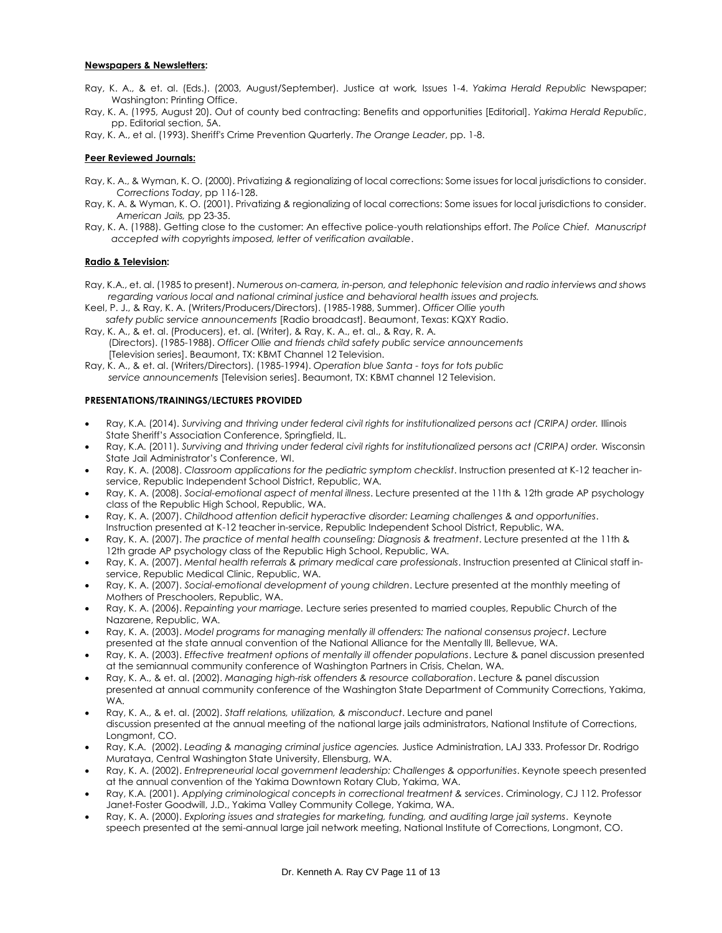## **Newspapers & Newsletters:**

- Ray, K. A., & et. al. (Eds.). (2003, August/September). Justice at work*,* Issues 1-4. *Yakima Herald Republic* Newspaper; Washington: Printing Office.
- Ray, K. A. (1995, August 20). Out of county bed contracting: Benefits and opportunities [Editorial]. *Yakima Herald Republic*, pp. Editorial section, 5A.
- Ray, K. A., et al. (1993). Sheriff's Crime Prevention Quarterly. *The Orange Leader*, pp. 1-8.

## **Peer Reviewed Journals:**

- Ray, K. A., & Wyman, K. O. (2000). Privatizing *&* regionalizing of local corrections: Some issues for local jurisdictions to consider. *Corrections Today*, pp 116-128.
- Ray, K. A. & Wyman, K. O. (2001). Privatizing *&* regionalizing of local corrections: Some issues for local jurisdictions to consider. *American Jails,* pp 23-35.
- Ray, K. A. (1988). Getting close to the customer: An effective police-youth relationships effort. *The Police Chief. Manuscript accepted with copy*rights *imposed, letter of verification available*.

## **Radio & Television:**

- Ray, K.A., et. al. (1985 to present). *Numerous on-camera, in-person, and telephonic television and radio interviews and shows regarding various local and national criminal justice and behavioral health issues and projects.*
- Keel, P. J., & Ray, K. A. (Writers/Producers/Directors). (1985-1988, Summer). *Officer Ollie youth safety public service announcements* [Radio broadcast]. Beaumont, Texas: KQXY Radio.
- Ray, K. A., & et. al. (Producers), et. al. (Writer), & Ray, K. A., et. al., & Ray, R. A. (Directors). (1985-1988). *Officer Ollie and friends child safety public service announcements* [Television series]. Beaumont, TX: KBMT Channel 12 Television.
- Ray, K. A., & et. al. (Writers/Directors). (1985-1994). *Operation blue Santa - toys for tots public service announcements* [Television series]. Beaumont, TX: KBMT channel 12 Television.

## **PRESENTATIONS/TRAININGS/LECTURES PROVIDED**

- Ray, K.A. (2014). *Surviving and thriving under federal civil rights for institutionalized persons act (CRIPA) order.* Illinois State Sheriff's Association Conference, Springfield, IL.
- Ray, K.A. (2011). *Surviving and thriving under federal civil rights for institutionalized persons act (CRIPA) order.* Wisconsin State Jail Administrator's Conference, WI.
- Ray, K. A. (2008). *Classroom applications for the pediatric symptom checklist*. Instruction presented at K-12 teacher inservice, Republic Independent School District, Republic, WA.
- Ray, K. A. (2008). *Social-emotional aspect of mental illness*. Lecture presented at the 11th & 12th grade AP psychology class of the Republic High School, Republic, WA.
- Ray, K. A. (2007). *Childhood attention deficit hyperactive disorder: Learning challenges & and opportunities*. Instruction presented at K-12 teacher in-service, Republic Independent School District, Republic, WA.
- Ray, K. A. (2007). *The practice of mental health counseling: Diagnosis & treatment*. Lecture presented at the 11th & 12th grade AP psychology class of the Republic High School, Republic, WA.
- Ray, K. A. (2007). *Mental health referrals & primary medical care professionals*. Instruction presented at Clinical staff inservice, Republic Medical Clinic, Republic, WA.
- Ray, K. A. (2007). *Social-emotional development of young children*. Lecture presented at the monthly meeting of Mothers of Preschoolers, Republic, WA.
- Ray, K. A. (2006). *Repainting your marriage.* Lecture series presented to married couples, Republic Church of the Nazarene, Republic, WA.
- Ray, K. A. (2003). *Model programs for managing mentally ill offenders: The national consensus project*. Lecture presented at the state annual convention of the National Alliance for the Mentally Ill, Bellevue, WA.
- Ray, K. A. (2003). *Effective treatment options of mentally ill offender populations*. Lecture & panel discussion presented at the semiannual community conference of Washington Partners in Crisis, Chelan, WA.
- Ray, K. A., & et. al. (2002). *Managing high-risk offenders & resource collaboration*. Lecture & panel discussion presented at annual community conference of the Washington State Department of Community Corrections, Yakima, WA.
- Ray, K. A., & et. al. (2002). *Staff relations, utilization, & misconduct*. Lecture and panel discussion presented at the annual meeting of the national large jails administrators, National Institute of Corrections, Longmont, CO.
- Ray, K.A. (2002). *Leading & managing criminal justice agencies.* Justice Administration, LAJ 333. Professor Dr. Rodrigo Murataya, Central Washington State University, Ellensburg, WA.
- Ray, K. A. (2002). *Entrepreneurial local government leadership: Challenges & opportunities*. Keynote speech presented at the annual convention of the Yakima Downtown Rotary Club, Yakima, WA.
- Ray, K.A. (2001). *Applying criminological concepts in correctional treatment & services*. Criminology, CJ 112. Professor Janet-Foster Goodwill, J.D., Yakima Valley Community College, Yakima, WA.
- Ray, K. A. (2000). *Exploring issues and strategies for marketing, funding, and auditing large jail systems*. Keynote speech presented at the semi-annual large jail network meeting, National Institute of Corrections, Longmont, CO.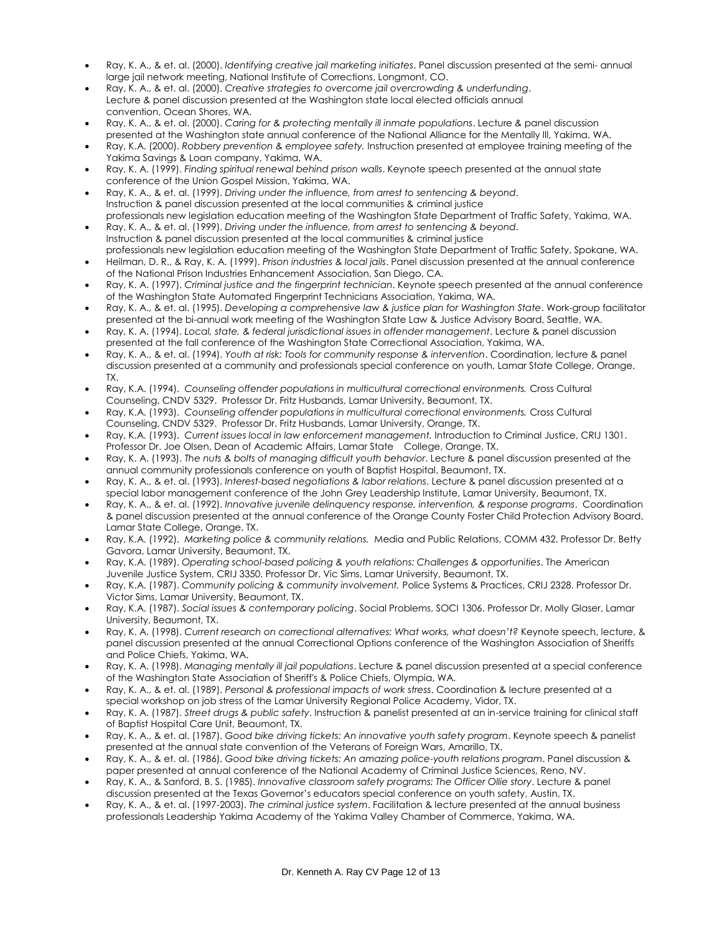- Ray, K. A., & et. al. (2000). *Identifying creative jail marketing initiates*. Panel discussion presented at the semi- annual large jail network meeting, National Institute of Corrections, Longmont, CO.
- Ray, K. A., & et. al. (2000). *Creative strategies to overcome jail overcrowding & underfunding*. Lecture *&* panel discussion presented at the Washington state local elected officials annual convention, Ocean Shores, WA.
- Ray, K. A., & et. al. (2000). *Caring for & protecting mentally ill inmate populations*. Lecture *&* panel discussion presented at the Washington state annual conference of the National Alliance for the Mentally Ill, Yakima, WA.
- Ray, K.A. (2000). *Robbery prevention & employee safety.* Instruction presented at employee training meeting of the Yakima Savings & Loan company, Yakima, WA.
- Ray, K. A. (1999). *Finding spiritual renewal behind prison walls*. Keynote speech presented at the annual state conference of the Union Gospel Mission, Yakima, WA.
- Ray, K. A., & et. al. (1999). *Driving under the influence, from arrest to sentencing & beyond*. Instruction & panel discussion presented at the local communities & criminal justice professionals new legislation education meeting of the Washington State Department of Traffic Safety, Yakima, WA.
- Ray, K. A., & et. al. (1999). *Driving under the influence, from arrest to sentencing & beyond*. Instruction & panel discussion presented at the local communities & criminal justice professionals new legislation education meeting of the Washington State Department of Traffic Safety, Spokane, WA.
- Heilman, D. R., & Ray, K. A. (1999). *Prison industries & local jails*. Panel discussion presented at the annual conference of the National Prison Industries Enhancement Association, San Diego, CA.
- Ray, K. A. (1997). *Criminal justice and the fingerprint technician*. Keynote speech presented at the annual conference of the Washington State Automated Fingerprint Technicians Association, Yakima, WA.
- Ray, K. A., & et. al. (1995). *Developing a comprehensive law & justice plan for Washington State*. Work-group facilitator presented at the bi-annual work meeting of the Washington State Law & Justice Advisory Board, Seattle, WA.
- Ray, K. A. (1994). *Local, state, & federal jurisdictional issues in offender management*. Lecture & panel discussion presented at the fall conference of the Washington State Correctional Association, Yakima, WA.
- Ray, K. A., & et. al. (1994). *Youth at risk: Tools for community response & intervention*. Coordination, lecture & panel discussion presented at a community and professionals special conference on youth, Lamar State College, Orange, TX.
- Ray, K.A. (1994). *Counseling offender populations in multicultural correctional environments.* Cross Cultural Counseling, CNDV 5329. Professor Dr. Fritz Husbands, Lamar University, Beaumont, TX.
- Ray, K.A. (1993). *Counseling offender populations in multicultural correctional environments.* Cross Cultural Counseling, CNDV 5329. Professor Dr. Fritz Husbands, Lamar University, Orange, TX.
- Ray, K.A. (1993). *Current issues local in law enforcement management.* Introduction to Criminal Justice, CRIJ 1301. Professor Dr. Joe Olsen, Dean of Academic Affairs, Lamar State College, Orange, TX.
- Ray, K. A. (1993). *The nuts & bolts of managing difficult youth behavior*. Lecture & panel discussion presented at the annual community professionals conference on youth of Baptist Hospital, Beaumont, TX.
- Ray, K. A., & et. al. (1993). *Interest-based negotiations & labor relations*. Lecture & panel discussion presented at a special labor management conference of the John Grey Leadership Institute, Lamar University, Beaumont, TX.
- Ray, K. A., & et. al. (1992). *Innovative juvenile delinquency response, intervention, & response programs*. Coordination & panel discussion presented at the annual conference of the Orange County Foster Child Protection Advisory Board, Lamar State College, Orange, TX.
- Ray, K.A. (1992). *Marketing police & community relations.* Media and Public Relations, COMM 432. Professor Dr. Betty Gavora, Lamar University, Beaumont, TX.
- Ray, K.A. (1989). *Operating school-based policing & youth relations: Challenges & opportunities*. The American Juvenile Justice System, CRIJ 3350. Professor Dr. Vic Sims, Lamar University, Beaumont, TX.
- Ray, K.A. (1987). *Community policing & community involvement.* Police Systems & Practices, CRIJ 2328. Professor Dr. Victor Sims, Lamar University, Beaumont, TX.
- Ray, K.A. (1987). *Social issues & contemporary policing*. Social Problems, SOCI 1306. Professor Dr. Molly Glaser, Lamar University, Beaumont, TX.
- Ray, K. A. (1998). *Current research on correctional alternatives: What works, what doesn't?* Keynote speech, lecture, & panel discussion presented at the annual Correctional Options conference of the Washington Association of Sheriffs and Police Chiefs, Yakima, WA.
- Ray, K. A. (1998). *Managing mentally ill jail populations*. Lecture & panel discussion presented at a special conference of the Washington State Association of Sheriff's & Police Chiefs, Olympia, WA.
- Ray, K. A., & et. al. (1989). *Personal & professional impacts of work stress*. Coordination & lecture presented at a special workshop on job stress of the Lamar University Regional Police Academy, Vidor, TX.
- Ray, K. A. (1987). *Street drugs & public safety*. Instruction & panelist presented at an in-service training for clinical staff of Baptist Hospital Care Unit, Beaumont, TX.
- Ray, K. A., & et. al. (1987). *Good bike driving tickets: An innovative youth safety program*. Keynote speech & panelist presented at the annual state convention of the Veterans of Foreign Wars, Amarillo, TX.
- Ray, K. A., & et. al. (1986). *Good bike driving tickets: An amazing police-youth relations program*. Panel discussion & paper presented at annual conference of the National Academy of Criminal Justice Sciences, Reno, NV.
- Ray, K. A., & Sanford, B. S. (1985). *Innovative classroom safety programs: The Officer Ollie story*. Lecture & panel discussion presented at the Texas Governor's educators special conference on youth safety, Austin, TX.
- Ray, K. A., & et. al. (1997-2003). *The criminal justice system*. Facilitation & lecture presented at the annual business professionals Leadership Yakima Academy of the Yakima Valley Chamber of Commerce, Yakima, WA.